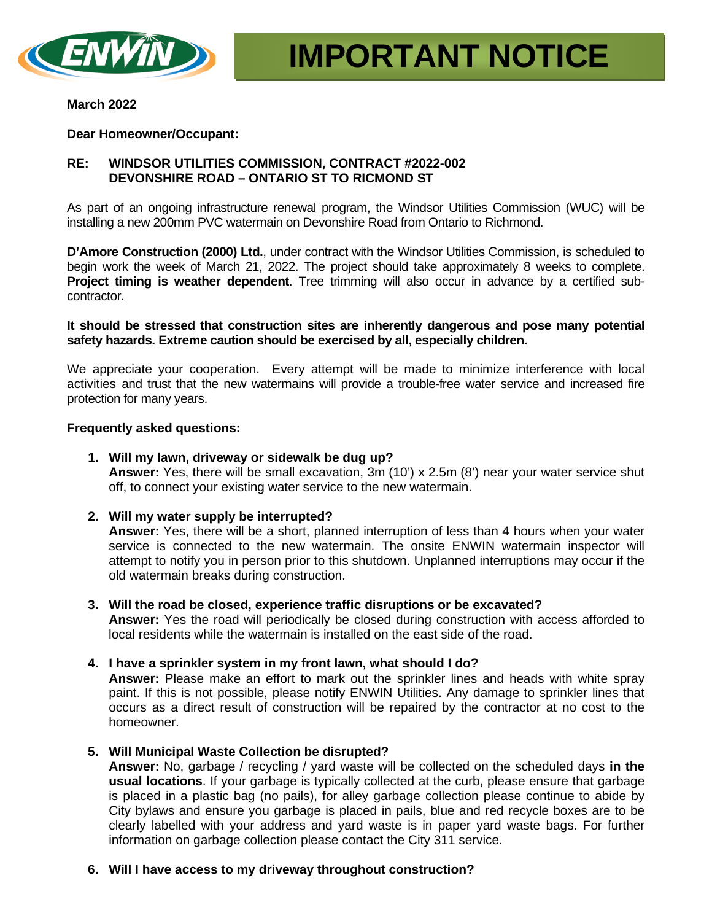

### **March 2022**

### **Dear Homeowner/Occupant:**

# **RE: WINDSOR UTILITIES COMMISSION, CONTRACT #2022-002 DEVONSHIRE ROAD – ONTARIO ST TO RICMOND ST**

As part of an ongoing infrastructure renewal program, the Windsor Utilities Commission (WUC) will be installing a new 200mm PVC watermain on Devonshire Road from Ontario to Richmond.

**D'Amore Construction (2000) Ltd.**, under contract with the Windsor Utilities Commission, is scheduled to begin work the week of March 21, 2022. The project should take approximately 8 weeks to complete. **Project timing is weather dependent**. Tree trimming will also occur in advance by a certified subcontractor.

**It should be stressed that construction sites are inherently dangerous and pose many potential safety hazards. Extreme caution should be exercised by all, especially children.**

We appreciate your cooperation. Every attempt will be made to minimize interference with local activities and trust that the new watermains will provide a trouble-free water service and increased fire protection for many years.

### **Frequently asked questions:**

**1. Will my lawn, driveway or sidewalk be dug up?**

**Answer:** Yes, there will be small excavation, 3m (10') x 2.5m (8') near your water service shut off, to connect your existing water service to the new watermain.

**2. Will my water supply be interrupted?**

**Answer:** Yes, there will be a short, planned interruption of less than 4 hours when your water service is connected to the new watermain. The onsite ENWIN watermain inspector will attempt to notify you in person prior to this shutdown. Unplanned interruptions may occur if the old watermain breaks during construction.

- **3. Will the road be closed, experience traffic disruptions or be excavated? Answer:** Yes the road will periodically be closed during construction with access afforded to local residents while the watermain is installed on the east side of the road.
- **4. I have a sprinkler system in my front lawn, what should I do? Answer:** Please make an effort to mark out the sprinkler lines and heads with white spray

paint. If this is not possible, please notify ENWIN Utilities. Any damage to sprinkler lines that occurs as a direct result of construction will be repaired by the contractor at no cost to the homeowner.

**5. Will Municipal Waste Collection be disrupted?**

**Answer:** No, garbage / recycling / yard waste will be collected on the scheduled days **in the usual locations**. If your garbage is typically collected at the curb, please ensure that garbage is placed in a plastic bag (no pails), for alley garbage collection please continue to abide by City bylaws and ensure you garbage is placed in pails, blue and red recycle boxes are to be clearly labelled with your address and yard waste is in paper yard waste bags. For further information on garbage collection please contact the City 311 service.

### **6. Will I have access to my driveway throughout construction?**